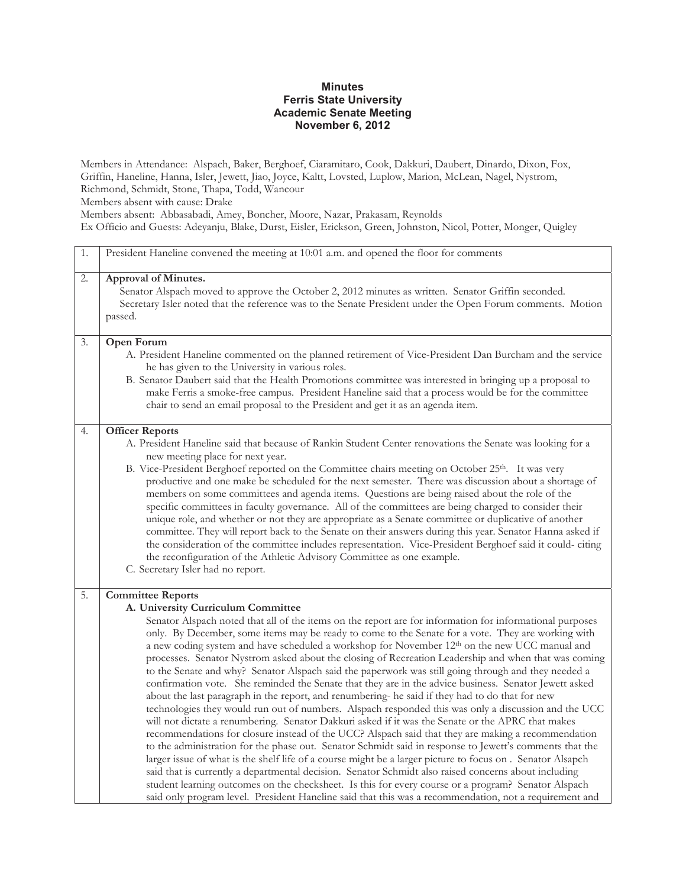## **Minutes Ferris State University Academic Senate Meeting November 6, 2012**

Members in Attendance: Alspach, Baker, Berghoef, Ciaramitaro, Cook, Dakkuri, Daubert, Dinardo, Dixon, Fox, Griffin, Haneline, Hanna, Isler, Jewett, Jiao, Joyce, Kaltt, Lovsted, Luplow, Marion, McLean, Nagel, Nystrom, Richmond, Schmidt, Stone, Thapa, Todd, Wancour Members absent with cause: Drake Members absent: Abbasabadi, Amey, Boncher, Moore, Nazar, Prakasam, Reynolds Ex Officio and Guests: Adeyanju, Blake, Durst, Eisler, Erickson, Green, Johnston, Nicol, Potter, Monger, Quigley

| 1. | President Haneline convened the meeting at 10:01 a.m. and opened the floor for comments                                                                                                                                                                                                                                                                                                                                                                                                                                                                                                                                                                                                                                                                                                                                                                                                                                                                                                                                                                                                                                                                                                                                                                                                                                                                                                                                                                                                                                                                                                                                                                                           |
|----|-----------------------------------------------------------------------------------------------------------------------------------------------------------------------------------------------------------------------------------------------------------------------------------------------------------------------------------------------------------------------------------------------------------------------------------------------------------------------------------------------------------------------------------------------------------------------------------------------------------------------------------------------------------------------------------------------------------------------------------------------------------------------------------------------------------------------------------------------------------------------------------------------------------------------------------------------------------------------------------------------------------------------------------------------------------------------------------------------------------------------------------------------------------------------------------------------------------------------------------------------------------------------------------------------------------------------------------------------------------------------------------------------------------------------------------------------------------------------------------------------------------------------------------------------------------------------------------------------------------------------------------------------------------------------------------|
| 2. | Approval of Minutes.<br>Senator Alspach moved to approve the October 2, 2012 minutes as written. Senator Griffin seconded.<br>Secretary Isler noted that the reference was to the Senate President under the Open Forum comments. Motion<br>passed.                                                                                                                                                                                                                                                                                                                                                                                                                                                                                                                                                                                                                                                                                                                                                                                                                                                                                                                                                                                                                                                                                                                                                                                                                                                                                                                                                                                                                               |
| 3. | Open Forum<br>A. President Haneline commented on the planned retirement of Vice-President Dan Burcham and the service<br>he has given to the University in various roles.<br>B. Senator Daubert said that the Health Promotions committee was interested in bringing up a proposal to<br>make Ferris a smoke-free campus. President Haneline said that a process would be for the committee<br>chair to send an email proposal to the President and get it as an agenda item.                                                                                                                                                                                                                                                                                                                                                                                                                                                                                                                                                                                                                                                                                                                                                                                                                                                                                                                                                                                                                                                                                                                                                                                                     |
| 4. | <b>Officer Reports</b><br>A. President Haneline said that because of Rankin Student Center renovations the Senate was looking for a<br>new meeting place for next year.<br>B. Vice-President Berghoef reported on the Committee chairs meeting on October 25 <sup>th</sup> . It was very<br>productive and one make be scheduled for the next semester. There was discussion about a shortage of<br>members on some committees and agenda items. Questions are being raised about the role of the<br>specific committees in faculty governance. All of the committees are being charged to consider their<br>unique role, and whether or not they are appropriate as a Senate committee or duplicative of another<br>committee. They will report back to the Senate on their answers during this year. Senator Hanna asked if<br>the consideration of the committee includes representation. Vice-President Berghoef said it could-citing<br>the reconfiguration of the Athletic Advisory Committee as one example.<br>C. Secretary Isler had no report.                                                                                                                                                                                                                                                                                                                                                                                                                                                                                                                                                                                                                          |
| 5. | <b>Committee Reports</b><br>A. University Curriculum Committee<br>Senator Alspach noted that all of the items on the report are for information for informational purposes<br>only. By December, some items may be ready to come to the Senate for a vote. They are working with<br>a new coding system and have scheduled a workshop for November 12th on the new UCC manual and<br>processes. Senator Nystrom asked about the closing of Recreation Leadership and when that was coming<br>to the Senate and why? Senator Alspach said the paperwork was still going through and they needed a<br>confirmation vote. She reminded the Senate that they are in the advice business. Senator Jewett asked<br>about the last paragraph in the report, and renumbering- he said if they had to do that for new<br>technologies they would run out of numbers. Alspach responded this was only a discussion and the UCC<br>will not dictate a renumbering. Senator Dakkuri asked if it was the Senate or the APRC that makes<br>recommendations for closure instead of the UCC? Alspach said that they are making a recommendation<br>to the administration for the phase out. Senator Schmidt said in response to Jewett's comments that the<br>larger issue of what is the shelf life of a course might be a larger picture to focus on . Senator Alsapch<br>said that is currently a departmental decision. Senator Schmidt also raised concerns about including<br>student learning outcomes on the checksheet. Is this for every course or a program? Senator Alspach<br>said only program level. President Haneline said that this was a recommendation, not a requirement and |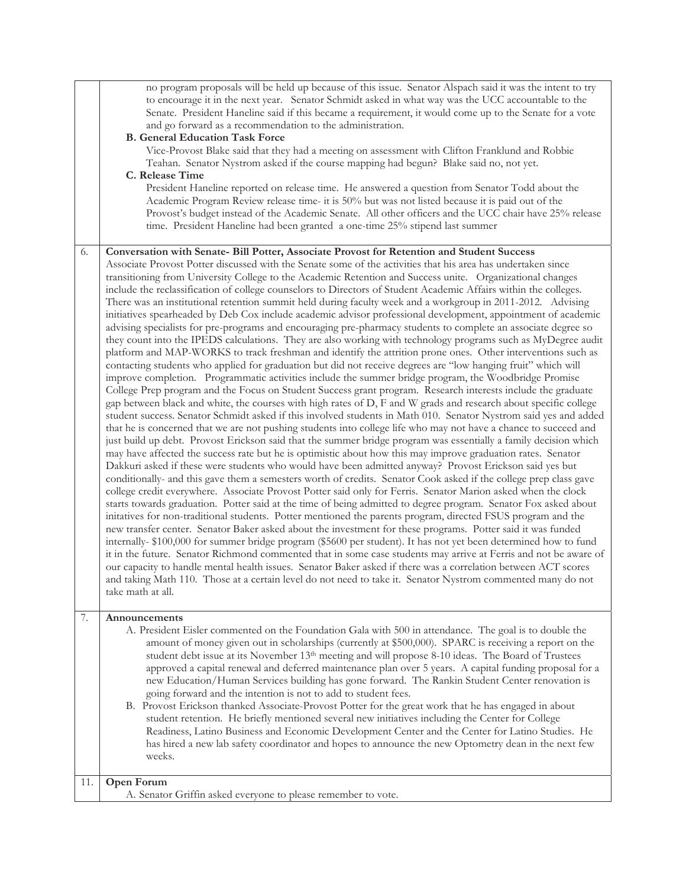|          | no program proposals will be held up because of this issue. Senator Alspach said it was the intent to try<br>to encourage it in the next year. Senator Schmidt asked in what way was the UCC accountable to the<br>Senate. President Haneline said if this became a requirement, it would come up to the Senate for a vote<br>and go forward as a recommendation to the administration.<br><b>B. General Education Task Force</b><br>Vice-Provost Blake said that they had a meeting on assessment with Clifton Franklund and Robbie<br>Teahan. Senator Nystrom asked if the course mapping had begun? Blake said no, not yet.<br>C. Release Time<br>President Haneline reported on release time. He answered a question from Senator Todd about the<br>Academic Program Review release time- it is 50% but was not listed because it is paid out of the                                                                                                                                                                                                                                                                                                                                                                                                                                                                                                                                                                                                                                                                                                                                                                                                                                                                                                                                                                                                                                                                                                                                                                                                                                                                                                                                                                                                                                                                                                                                                                                                                                                                                                                                                                                                                                                                                                                                                                                                                                                                                                                                                                                                                                                                                                                                 |
|----------|------------------------------------------------------------------------------------------------------------------------------------------------------------------------------------------------------------------------------------------------------------------------------------------------------------------------------------------------------------------------------------------------------------------------------------------------------------------------------------------------------------------------------------------------------------------------------------------------------------------------------------------------------------------------------------------------------------------------------------------------------------------------------------------------------------------------------------------------------------------------------------------------------------------------------------------------------------------------------------------------------------------------------------------------------------------------------------------------------------------------------------------------------------------------------------------------------------------------------------------------------------------------------------------------------------------------------------------------------------------------------------------------------------------------------------------------------------------------------------------------------------------------------------------------------------------------------------------------------------------------------------------------------------------------------------------------------------------------------------------------------------------------------------------------------------------------------------------------------------------------------------------------------------------------------------------------------------------------------------------------------------------------------------------------------------------------------------------------------------------------------------------------------------------------------------------------------------------------------------------------------------------------------------------------------------------------------------------------------------------------------------------------------------------------------------------------------------------------------------------------------------------------------------------------------------------------------------------------------------------------------------------------------------------------------------------------------------------------------------------------------------------------------------------------------------------------------------------------------------------------------------------------------------------------------------------------------------------------------------------------------------------------------------------------------------------------------------------------------------------------------------------------------------------------------------------|
|          | Provost's budget instead of the Academic Senate. All other officers and the UCC chair have 25% release<br>time. President Haneline had been granted a one-time 25% stipend last summer                                                                                                                                                                                                                                                                                                                                                                                                                                                                                                                                                                                                                                                                                                                                                                                                                                                                                                                                                                                                                                                                                                                                                                                                                                                                                                                                                                                                                                                                                                                                                                                                                                                                                                                                                                                                                                                                                                                                                                                                                                                                                                                                                                                                                                                                                                                                                                                                                                                                                                                                                                                                                                                                                                                                                                                                                                                                                                                                                                                                   |
| 6.<br>7. | Conversation with Senate- Bill Potter, Associate Provost for Retention and Student Success<br>Associate Provost Potter discussed with the Senate some of the activities that his area has undertaken since<br>transitioning from University College to the Academic Retention and Success unite. Organizational changes<br>include the reclassification of college counselors to Directors of Student Academic Affairs within the colleges.<br>There was an institutional retention summit held during faculty week and a workgroup in 2011-2012. Advising<br>initiatives spearheaded by Deb Cox include academic advisor professional development, appointment of academic<br>advising specialists for pre-programs and encouraging pre-pharmacy students to complete an associate degree so<br>they count into the IPEDS calculations. They are also working with technology programs such as MyDegree audit<br>platform and MAP-WORKS to track freshman and identify the attrition prone ones. Other interventions such as<br>contacting students who applied for graduation but did not receive degrees are "low hanging fruit" which will<br>improve completion. Programmatic activities include the summer bridge program, the Woodbridge Promise<br>College Prep program and the Focus on Student Success grant program. Research interests include the graduate<br>gap between black and white, the courses with high rates of D, F and W grads and research about specific college<br>student success. Senator Schmidt asked if this involved students in Math 010. Senator Nystrom said yes and added<br>that he is concerned that we are not pushing students into college life who may not have a chance to succeed and<br>just build up debt. Provost Erickson said that the summer bridge program was essentially a family decision which<br>may have affected the success rate but he is optimistic about how this may improve graduation rates. Senator<br>Dakkuri asked if these were students who would have been admitted anyway? Provost Erickson said yes but<br>conditionally- and this gave them a semesters worth of credits. Senator Cook asked if the college prep class gave<br>college credit everywhere. Associate Provost Potter said only for Ferris. Senator Marion asked when the clock<br>starts towards graduation. Potter said at the time of being admitted to degree program. Senator Fox asked about<br>initatives for non-traditional students. Potter mentioned the parents program, directed FSUS program and the<br>new transfer center. Senator Baker asked about the investment for these programs. Potter said it was funded<br>internally-\$100,000 for summer bridge program (\$5600 per student). It has not yet been determined how to fund<br>it in the future. Senator Richmond commented that in some case students may arrive at Ferris and not be aware of<br>our capacity to handle mental health issues. Senator Baker asked if there was a correlation between ACT scores<br>and taking Math 110. Those at a certain level do not need to take it. Senator Nystrom commented many do not<br>take math at all.<br>Announcements |
|          | A. President Eisler commented on the Foundation Gala with 500 in attendance. The goal is to double the<br>amount of money given out in scholarships (currently at \$500,000). SPARC is receiving a report on the<br>student debt issue at its November 13 <sup>th</sup> meeting and will propose 8-10 ideas. The Board of Trustees<br>approved a capital renewal and deferred maintenance plan over 5 years. A capital funding proposal for a<br>new Education/Human Services building has gone forward. The Rankin Student Center renovation is<br>going forward and the intention is not to add to student fees.<br>B. Provost Erickson thanked Associate-Provost Potter for the great work that he has engaged in about<br>student retention. He briefly mentioned several new initiatives including the Center for College                                                                                                                                                                                                                                                                                                                                                                                                                                                                                                                                                                                                                                                                                                                                                                                                                                                                                                                                                                                                                                                                                                                                                                                                                                                                                                                                                                                                                                                                                                                                                                                                                                                                                                                                                                                                                                                                                                                                                                                                                                                                                                                                                                                                                                                                                                                                                           |
|          | Readiness, Latino Business and Economic Development Center and the Center for Latino Studies. He<br>has hired a new lab safety coordinator and hopes to announce the new Optometry dean in the next few<br>weeks.                                                                                                                                                                                                                                                                                                                                                                                                                                                                                                                                                                                                                                                                                                                                                                                                                                                                                                                                                                                                                                                                                                                                                                                                                                                                                                                                                                                                                                                                                                                                                                                                                                                                                                                                                                                                                                                                                                                                                                                                                                                                                                                                                                                                                                                                                                                                                                                                                                                                                                                                                                                                                                                                                                                                                                                                                                                                                                                                                                        |
| 11.      | Open Forum<br>A. Senator Griffin asked everyone to please remember to vote.                                                                                                                                                                                                                                                                                                                                                                                                                                                                                                                                                                                                                                                                                                                                                                                                                                                                                                                                                                                                                                                                                                                                                                                                                                                                                                                                                                                                                                                                                                                                                                                                                                                                                                                                                                                                                                                                                                                                                                                                                                                                                                                                                                                                                                                                                                                                                                                                                                                                                                                                                                                                                                                                                                                                                                                                                                                                                                                                                                                                                                                                                                              |